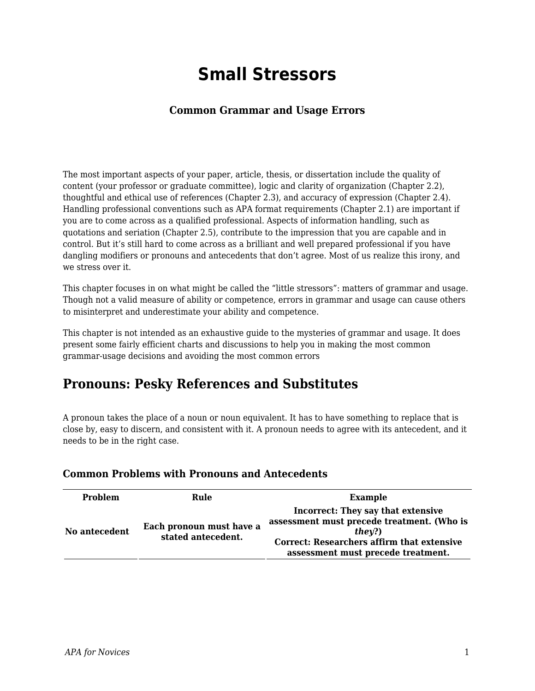# **Small Stressors**

### **Common Grammar and Usage Errors**

The most important aspects of your paper, article, thesis, or dissertation include the quality of content (your professor or graduate committee), logic and clarity of organization (Chapter 2.2), thoughtful and ethical use of references (Chapter 2.3), and accuracy of expression (Chapter 2.4). Handling professional conventions such as APA format requirements (Chapter 2.1) are important if you are to come across as a qualified professional. Aspects of information handling, such as quotations and seriation (Chapter 2.5), contribute to the impression that you are capable and in control. But it's still hard to come across as a brilliant and well prepared professional if you have dangling modifiers or pronouns and antecedents that don't agree. Most of us realize this irony, and we stress over it.

This chapter focuses in on what might be called the "little stressors": matters of grammar and usage. Though not a valid measure of ability or competence, errors in grammar and usage can cause others to misinterpret and underestimate your ability and competence.

This chapter is not intended as an exhaustive guide to the mysteries of grammar and usage. It does present some fairly efficient charts and discussions to help you in making the most common grammar-usage decisions and avoiding the most common errors

## **Pronouns: Pesky References and Substitutes**

A pronoun takes the place of a noun or noun equivalent. It has to have something to replace that is close by, easy to discern, and consistent with it. A pronoun needs to agree with its antecedent, and it needs to be in the right case.

| <b>Problem</b> | Rule                                           | <b>Example</b>                                                                                                                                                                 |
|----------------|------------------------------------------------|--------------------------------------------------------------------------------------------------------------------------------------------------------------------------------|
| No antecedent  | Each pronoun must have a<br>stated antecedent. | Incorrect: They say that extensive<br>assessment must precede treatment. (Who is<br>they?)<br>Correct: Researchers affirm that extensive<br>assessment must precede treatment. |

### **Common Problems with Pronouns and Antecedents**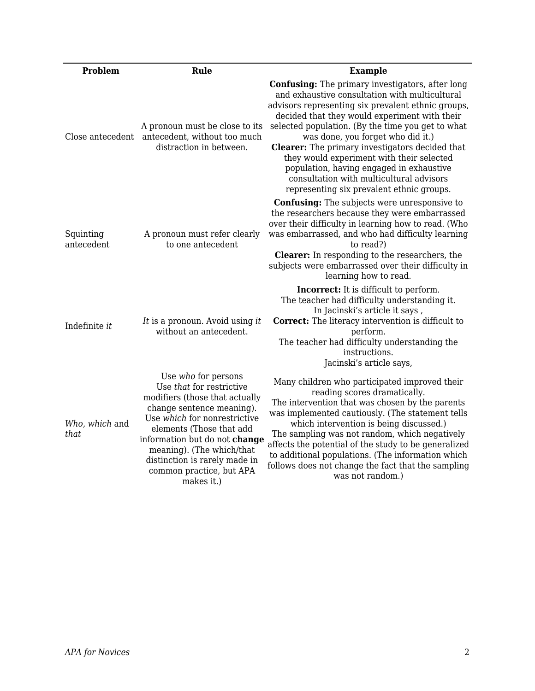| Problem                 | Rule                                                                                                                                                                                                                                                                                                                | <b>Example</b>                                                                                                                                                                                                                                                                                                                                                                                                                                                                                                                                         |
|-------------------------|---------------------------------------------------------------------------------------------------------------------------------------------------------------------------------------------------------------------------------------------------------------------------------------------------------------------|--------------------------------------------------------------------------------------------------------------------------------------------------------------------------------------------------------------------------------------------------------------------------------------------------------------------------------------------------------------------------------------------------------------------------------------------------------------------------------------------------------------------------------------------------------|
| Close antecedent        | A pronoun must be close to its<br>antecedent, without too much<br>distraction in between.                                                                                                                                                                                                                           | <b>Confusing:</b> The primary investigators, after long<br>and exhaustive consultation with multicultural<br>advisors representing six prevalent ethnic groups,<br>decided that they would experiment with their<br>selected population. (By the time you get to what<br>was done, you forget who did it.)<br><b>Clearer:</b> The primary investigators decided that<br>they would experiment with their selected<br>population, having engaged in exhaustive<br>consultation with multicultural advisors<br>representing six prevalent ethnic groups. |
| Squinting<br>antecedent | A pronoun must refer clearly<br>to one antecedent                                                                                                                                                                                                                                                                   | <b>Confusing:</b> The subjects were unresponsive to<br>the researchers because they were embarrassed<br>over their difficulty in learning how to read. (Who<br>was embarrassed, and who had difficulty learning<br>to read?)<br><b>Clearer:</b> In responding to the researchers, the<br>subjects were embarrassed over their difficulty in<br>learning how to read.                                                                                                                                                                                   |
| Indefinite it           | It is a pronoun. Avoid using it<br>without an antecedent.                                                                                                                                                                                                                                                           | <b>Incorrect:</b> It is difficult to perform.<br>The teacher had difficulty understanding it.<br>In Jacinski's article it says,<br><b>Correct:</b> The literacy intervention is difficult to<br>perform.<br>The teacher had difficulty understanding the<br>instructions.<br>Jacinski's article says,                                                                                                                                                                                                                                                  |
| Who, which and<br>that  | Use who for persons<br>Use that for restrictive<br>modifiers (those that actually<br>change sentence meaning).<br>Use which for nonrestrictive<br>elements (Those that add<br>information but do not change<br>meaning). (The which/that<br>distinction is rarely made in<br>common practice, but APA<br>makes it.) | Many children who participated improved their<br>reading scores dramatically.<br>The intervention that was chosen by the parents<br>was implemented cautiously. (The statement tells<br>which intervention is being discussed.)<br>The sampling was not random, which negatively<br>affects the potential of the study to be generalized<br>to additional populations. (The information which<br>follows does not change the fact that the sampling<br>was not random.)                                                                                |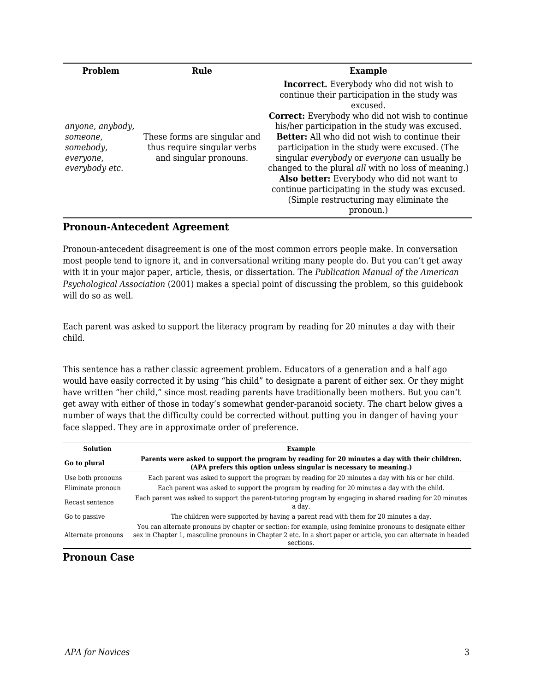| <b>Problem</b>                                                           | Rule                                                                                  | <b>Example</b>                                                                                                                                                                                                                                                                                                                                                                                                                                                                                                                                                                                               |
|--------------------------------------------------------------------------|---------------------------------------------------------------------------------------|--------------------------------------------------------------------------------------------------------------------------------------------------------------------------------------------------------------------------------------------------------------------------------------------------------------------------------------------------------------------------------------------------------------------------------------------------------------------------------------------------------------------------------------------------------------------------------------------------------------|
| anyone, anybody,<br>someone,<br>somebody,<br>everyone,<br>everybody etc. | These forms are singular and<br>thus require singular verbs<br>and singular pronouns. | <b>Incorrect.</b> Everybody who did not wish to<br>continue their participation in the study was<br>excused.<br><b>Correct:</b> Everybody who did not wish to continue<br>his/her participation in the study was excused.<br><b>Better:</b> All who did not wish to continue their<br>participation in the study were excused. (The<br>singular everybody or everyone can usually be<br>changed to the plural <i>all</i> with no loss of meaning.)<br>Also better: Everybody who did not want to<br>continue participating in the study was excused.<br>(Simple restructuring may eliminate the<br>pronoun.) |

#### **Pronoun-Antecedent Agreement**

Pronoun-antecedent disagreement is one of the most common errors people make. In conversation most people tend to ignore it, and in conversational writing many people do. But you can't get away with it in your major paper, article, thesis, or dissertation. The *Publication Manual of the American Psychological Association* (2001) makes a special point of discussing the problem, so this guidebook will do so as well.

Each parent was asked to support the literacy program by reading for 20 minutes a day with their child.

This sentence has a rather classic agreement problem. Educators of a generation and a half ago would have easily corrected it by using "his child" to designate a parent of either sex. Or they might have written "her child," since most reading parents have traditionally been mothers. But you can't get away with either of those in today's somewhat gender-paranoid society. The chart below gives a number of ways that the difficulty could be corrected without putting you in danger of having your face slapped. They are in approximate order of preference.

| <b>Solution</b>    | Example                                                                                                                                                                                                                                    |  |
|--------------------|--------------------------------------------------------------------------------------------------------------------------------------------------------------------------------------------------------------------------------------------|--|
| Go to plural       | Parents were asked to support the program by reading for 20 minutes a day with their children.<br>(APA prefers this option unless singular is necessary to meaning.)                                                                       |  |
| Use both pronouns  | Each parent was asked to support the program by reading for 20 minutes a day with his or her child.                                                                                                                                        |  |
| Eliminate pronoun  | Each parent was asked to support the program by reading for 20 minutes a day with the child.                                                                                                                                               |  |
| Recast sentence    | Each parent was asked to support the parent-tutoring program by engaging in shared reading for 20 minutes<br>a dav.                                                                                                                        |  |
| Go to passive      | The children were supported by having a parent read with them for 20 minutes a day.                                                                                                                                                        |  |
| Alternate pronouns | You can alternate pronouns by chapter or section: for example, using feminine pronouns to designate either<br>sex in Chapter 1, masculine pronouns in Chapter 2 etc. In a short paper or article, you can alternate in headed<br>sections. |  |

#### **Pronoun Case**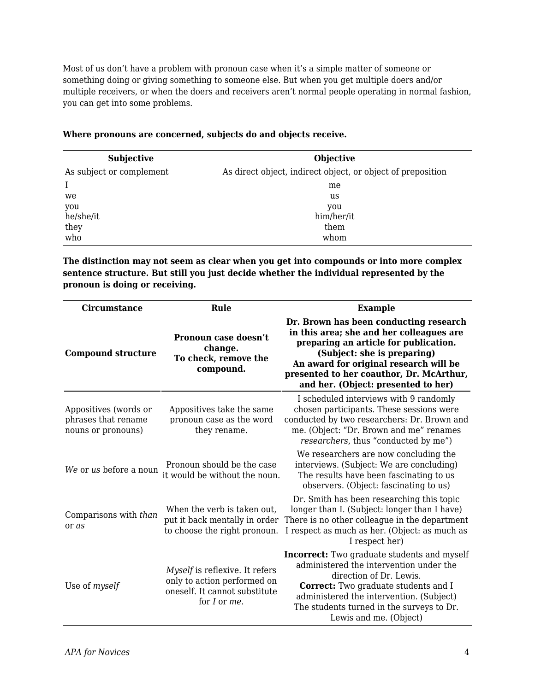Most of us don't have a problem with pronoun case when it's a simple matter of someone or something doing or giving something to someone else. But when you get multiple doers and/or multiple receivers, or when the doers and receivers aren't normal people operating in normal fashion, you can get into some problems.

| <b>Subjective</b>        | <b>Objective</b>                                            |
|--------------------------|-------------------------------------------------------------|
| As subject or complement | As direct object, indirect object, or object of preposition |
|                          | me                                                          |
| we                       | us                                                          |
| you                      | you                                                         |
| he/she/it                | him/her/it                                                  |
| they                     | them                                                        |
| who                      | whom                                                        |

**The distinction may not seem as clear when you get into compounds or into more complex sentence structure. But still you just decide whether the individual represented by the pronoun is doing or receiving.**

| <b>Circumstance</b>                                                | Rule                                                                                                           | <b>Example</b>                                                                                                                                                                                                                                                                             |
|--------------------------------------------------------------------|----------------------------------------------------------------------------------------------------------------|--------------------------------------------------------------------------------------------------------------------------------------------------------------------------------------------------------------------------------------------------------------------------------------------|
| <b>Compound structure</b>                                          | Pronoun case doesn't<br>change.<br>To check, remove the<br>compound.                                           | Dr. Brown has been conducting research<br>in this area; she and her colleagues are<br>preparing an article for publication.<br>(Subject: she is preparing)<br>An award for original research will be<br>presented to her coauthor, Dr. McArthur,<br>and her. (Object: presented to her)    |
| Appositives (words or<br>phrases that rename<br>nouns or pronouns) | Appositives take the same<br>pronoun case as the word<br>they rename.                                          | I scheduled interviews with 9 randomly<br>chosen participants. These sessions were<br>conducted by two researchers: Dr. Brown and<br>me. (Object: "Dr. Brown and me" renames<br>researchers, thus "conducted by me")                                                                       |
| We or us before a noun                                             | Pronoun should be the case<br>it would be without the noun.                                                    | We researchers are now concluding the<br>interviews. (Subject: We are concluding)<br>The results have been fascinating to us<br>observers. (Object: fascinating to us)                                                                                                                     |
| Comparisons with than<br>or as                                     | When the verb is taken out,<br>put it back mentally in order<br>to choose the right pronoun.                   | Dr. Smith has been researching this topic<br>longer than I. (Subject: longer than I have)<br>There is no other colleague in the department<br>I respect as much as her. (Object: as much as<br>I respect her)                                                                              |
| Use of myself                                                      | Myself is reflexive. It refers<br>only to action performed on<br>oneself. It cannot substitute<br>for I or me. | <b>Incorrect:</b> Two graduate students and myself<br>administered the intervention under the<br>direction of Dr. Lewis.<br><b>Correct:</b> Two graduate students and I<br>administered the intervention. (Subject)<br>The students turned in the surveys to Dr.<br>Lewis and me. (Object) |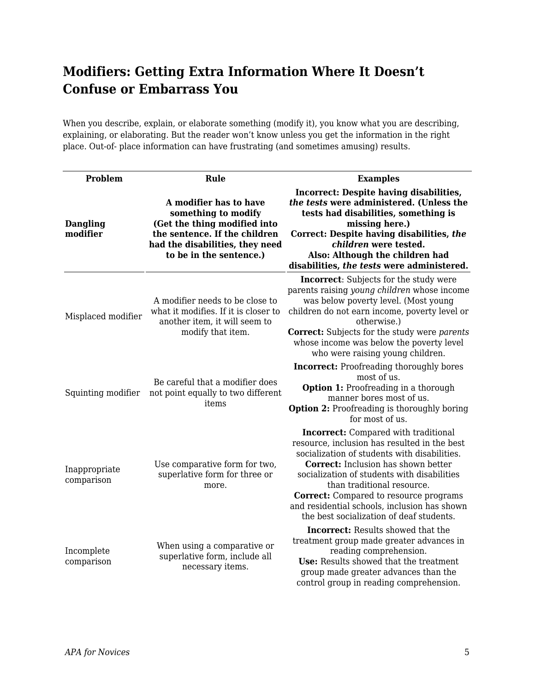## **Modifiers: Getting Extra Information Where It Doesn't Confuse or Embarrass You**

When you describe, explain, or elaborate something (modify it), you know what you are describing, explaining, or elaborating. But the reader won't know unless you get the information in the right place. Out-of- place information can have frustrating (and sometimes amusing) results.

| Problem                     | Rule                                                                                                                                                                         | <b>Examples</b>                                                                                                                                                                                                                                                                                                                                                                                                     |
|-----------------------------|------------------------------------------------------------------------------------------------------------------------------------------------------------------------------|---------------------------------------------------------------------------------------------------------------------------------------------------------------------------------------------------------------------------------------------------------------------------------------------------------------------------------------------------------------------------------------------------------------------|
| <b>Dangling</b><br>modifier | A modifier has to have<br>something to modify<br>(Get the thing modified into<br>the sentence. If the children<br>had the disabilities, they need<br>to be in the sentence.) | Incorrect: Despite having disabilities,<br>the tests were administered. (Unless the<br>tests had disabilities, something is<br>missing here.)<br>Correct: Despite having disabilities, the<br>children were tested.<br>Also: Although the children had<br>disabilities, the tests were administered.                                                                                                                |
| Misplaced modifier          | A modifier needs to be close to<br>what it modifies. If it is closer to<br>another item, it will seem to<br>modify that item.                                                | <b>Incorrect:</b> Subjects for the study were<br>parents raising young children whose income<br>was below poverty level. (Most young<br>children do not earn income, poverty level or<br>otherwise.)<br><b>Correct:</b> Subjects for the study were parents<br>whose income was below the poverty level<br>who were raising young children.                                                                         |
| Squinting modifier          | Be careful that a modifier does<br>not point equally to two different<br>items                                                                                               | <b>Incorrect:</b> Proofreading thoroughly bores<br>most of us.<br><b>Option 1: Proofreading in a thorough</b><br>manner bores most of us.<br><b>Option 2:</b> Proofreading is thoroughly boring<br>for most of us.                                                                                                                                                                                                  |
| Inappropriate<br>comparison | Use comparative form for two,<br>superlative form for three or<br>more.                                                                                                      | <b>Incorrect:</b> Compared with traditional<br>resource, inclusion has resulted in the best<br>socialization of students with disabilities.<br><b>Correct:</b> Inclusion has shown better<br>socialization of students with disabilities<br>than traditional resource.<br><b>Correct:</b> Compared to resource programs<br>and residential schools, inclusion has shown<br>the best socialization of deaf students. |
| Incomplete<br>comparison    | When using a comparative or<br>superlative form, include all<br>necessary items.                                                                                             | <b>Incorrect:</b> Results showed that the<br>treatment group made greater advances in<br>reading comprehension.<br>Use: Results showed that the treatment<br>group made greater advances than the<br>control group in reading comprehension.                                                                                                                                                                        |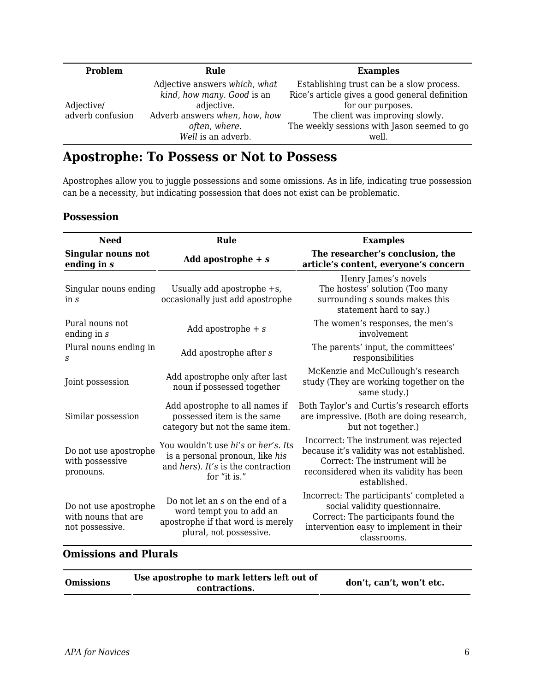| Problem                        | Rule                                                                                                                        | <b>Examples</b>                                                                                                                                                                                     |
|--------------------------------|-----------------------------------------------------------------------------------------------------------------------------|-----------------------------------------------------------------------------------------------------------------------------------------------------------------------------------------------------|
| Adjective/<br>adverb confusion | Adjective answers which, what<br>kind, how many. Good is an<br>adjective.<br>Adverb answers when, how, how<br>often, where. | Establishing trust can be a slow process.<br>Rice's article gives a good general definition<br>for our purposes.<br>The client was improving slowly.<br>The weekly sessions with Jason seemed to go |
|                                | Well is an adverb.                                                                                                          | well.                                                                                                                                                                                               |

## **Apostrophe: To Possess or Not to Possess**

Apostrophes allow you to juggle possessions and some omissions. As in life, indicating true possession can be a necessity, but indicating possession that does not exist can be problematic.

### **Possession**

| Need                                                            | Rule                                                                                                                         | <b>Examples</b>                                                                                                                                                                    |
|-----------------------------------------------------------------|------------------------------------------------------------------------------------------------------------------------------|------------------------------------------------------------------------------------------------------------------------------------------------------------------------------------|
| <b>Singular nouns not</b><br>ending in s                        | Add apostrophe $+ s$                                                                                                         | The researcher's conclusion, the<br>article's content, everyone's concern                                                                                                          |
| Singular nouns ending<br>$\ln s$                                | Usually add apostrophe +s,<br>occasionally just add apostrophe                                                               | Henry James's novels<br>The hostess' solution (Too many<br>surrounding s sounds makes this<br>statement hard to say.)                                                              |
| Pural nouns not<br>ending in $s$                                | Add apostrophe $+ s$                                                                                                         | The women's responses, the men's<br><i>involvement</i>                                                                                                                             |
| Plural nouns ending in<br>S                                     | Add apostrophe after s                                                                                                       | The parents' input, the committees'<br>responsibilities                                                                                                                            |
| Joint possession                                                | Add apostrophe only after last<br>noun if possessed together                                                                 | McKenzie and McCullough's research<br>study (They are working together on the<br>same study.)                                                                                      |
| Similar possession                                              | Add apostrophe to all names if<br>possessed item is the same<br>category but not the same item.                              | Both Taylor's and Curtis's research efforts<br>are impressive. (Both are doing research,<br>but not together.)                                                                     |
| Do not use apostrophe<br>with possessive<br>pronouns.           | You wouldn't use hi's or her's. Its<br>is a personal pronoun, like his<br>and hers). It's is the contraction<br>for "it is." | Incorrect: The instrument was rejected<br>because it's validity was not established.<br>Correct: The instrument will be<br>reconsidered when its validity has been<br>established. |
| Do not use apostrophe<br>with nouns that are<br>not possessive. | Do not let an s on the end of a<br>word tempt you to add an<br>apostrophe if that word is merely<br>plural, not possessive.  | Incorrect: The participants' completed a<br>social validity questionnaire.<br>Correct: The participants found the<br>intervention easy to implement in their<br>classrooms.        |

## **Omissions and Plurals**

| contractions. | <b>Omissions</b> | Use apostrophe to mark letters left out of | don't, can't, won't etc. |
|---------------|------------------|--------------------------------------------|--------------------------|
|---------------|------------------|--------------------------------------------|--------------------------|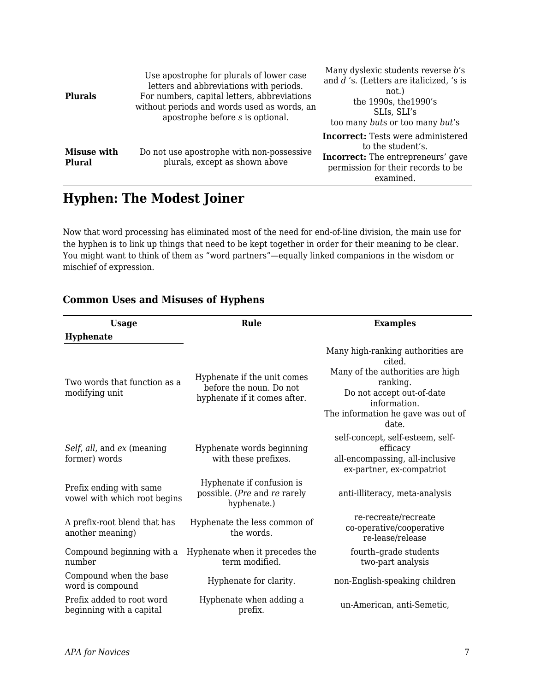| <b>Plurals</b>               | Use apostrophe for plurals of lower case<br>letters and abbreviations with periods.<br>For numbers, capital letters, abbreviations<br>without periods and words used as words, an<br>apostrophe before s is optional. | Many dyslexic students reverse b's<br>and $d$ 's. (Letters are italicized, 's is<br>not.)<br>the 1990s, the 1990's<br>SLIs, SLI's<br>too many buts or too many but's |
|------------------------------|-----------------------------------------------------------------------------------------------------------------------------------------------------------------------------------------------------------------------|----------------------------------------------------------------------------------------------------------------------------------------------------------------------|
| <b>Misuse with</b><br>Plural | Do not use apostrophe with non-possessive<br>plurals, except as shown above                                                                                                                                           | <b>Incorrect:</b> Tests were administered<br>to the student's.<br><b>Incorrect:</b> The entrepreneurs' gave<br>permission for their records to be<br>examined.       |

## **Hyphen: The Modest Joiner**

Now that word processing has eliminated most of the need for end-of-line division, the main use for the hyphen is to link up things that need to be kept together in order for their meaning to be clear. You might want to think of them as "word partners"—equally linked companions in the wisdom or mischief of expression.

| <b>Usage</b>                                            | Rule                                                                                    | <b>Examples</b>                                                                                                                                                                         |
|---------------------------------------------------------|-----------------------------------------------------------------------------------------|-----------------------------------------------------------------------------------------------------------------------------------------------------------------------------------------|
| <b>Hyphenate</b>                                        |                                                                                         |                                                                                                                                                                                         |
| Two words that function as a<br>modifying unit          | Hyphenate if the unit comes<br>before the noun. Do not<br>hyphenate if it comes after.  | Many high-ranking authorities are<br>cited.<br>Many of the authorities are high<br>ranking.<br>Do not accept out-of-date<br>information.<br>The information he gave was out of<br>date. |
| Self, all, and ex (meaning<br>former) words             | Hyphenate words beginning<br>with these prefixes.                                       | self-concept, self-esteem, self-<br>efficacy<br>all-encompassing, all-inclusive<br>ex-partner, ex-compatriot                                                                            |
| Prefix ending with same<br>vowel with which root begins | Hyphenate if confusion is<br>possible. ( <i>Pre</i> and <i>re</i> rarely<br>hyphenate.) | anti-illiteracy, meta-analysis                                                                                                                                                          |
| A prefix-root blend that has<br>another meaning)        | Hyphenate the less common of<br>the words.                                              | re-recreate/recreate<br>co-operative/cooperative<br>re-lease/release                                                                                                                    |
| Compound beginning with a<br>number                     | Hyphenate when it precedes the<br>term modified.                                        | fourth-grade students<br>two-part analysis                                                                                                                                              |
| Compound when the base<br>word is compound              | Hyphenate for clarity.                                                                  | non-English-speaking children                                                                                                                                                           |
| Prefix added to root word<br>beginning with a capital   | Hyphenate when adding a<br>prefix.                                                      | un-American, anti-Semetic,                                                                                                                                                              |

### **Common Uses and Misuses of Hyphens**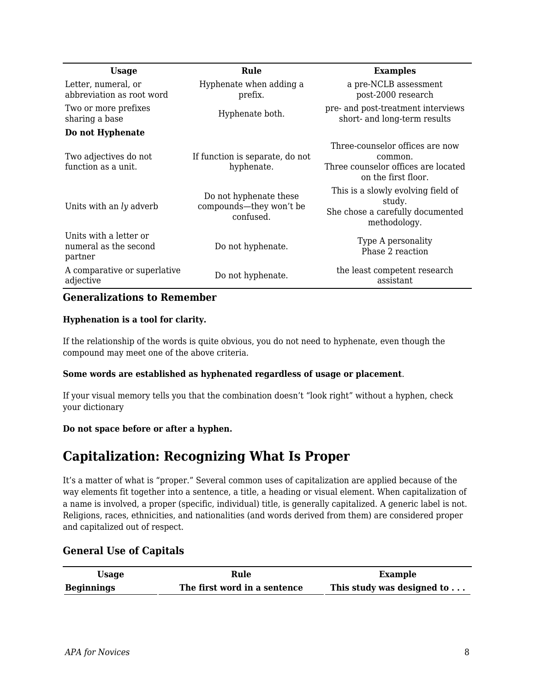| <b>Usage</b>                                               | Rule                                                           | <b>Examples</b>                                                                                          |
|------------------------------------------------------------|----------------------------------------------------------------|----------------------------------------------------------------------------------------------------------|
| Letter, numeral, or<br>abbreviation as root word           | Hyphenate when adding a<br>prefix.                             | a pre-NCLB assessment<br>post-2000 research                                                              |
| Two or more prefixes<br>sharing a base                     | Hyphenate both.                                                | pre- and post-treatment interviews<br>short- and long-term results                                       |
| Do not Hyphenate                                           |                                                                |                                                                                                          |
| Two adjectives do not<br>function as a unit.               | If function is separate, do not<br>hyphenate.                  | Three-counselor offices are now<br>common.<br>Three counselor offices are located<br>on the first floor. |
| Units with an ly adverb                                    | Do not hyphenate these<br>compounds—they won't be<br>confused. | This is a slowly evolving field of<br>study.<br>She chose a carefully documented<br>methodology.         |
| Units with a letter or<br>numeral as the second<br>partner | Do not hyphenate.                                              | Type A personality<br>Phase 2 reaction                                                                   |
| A comparative or superlative<br>adjective                  | Do not hyphenate.                                              | the least competent research<br>assistant                                                                |

#### **Generalizations to Remember**

#### **Hyphenation is a tool for clarity.**

If the relationship of the words is quite obvious, you do not need to hyphenate, even though the compound may meet one of the above criteria.

#### **Some words are established as hyphenated regardless of usage or placement**.

If your visual memory tells you that the combination doesn't "look right" without a hyphen, check your dictionary

#### **Do not space before or after a hyphen.**

## **Capitalization: Recognizing What Is Proper**

It's a matter of what is "proper." Several common uses of capitalization are applied because of the way elements fit together into a sentence, a title, a heading or visual element. When capitalization of a name is involved, a proper (specific, individual) title, is generally capitalized. A generic label is not. Religions, races, ethnicities, and nationalities (and words derived from them) are considered proper and capitalized out of respect.

### **General Use of Capitals**

| Usage             | Rule                         | <b>Example</b>             |
|-------------------|------------------------------|----------------------------|
| <b>Beginnings</b> | The first word in a sentence | This study was designed to |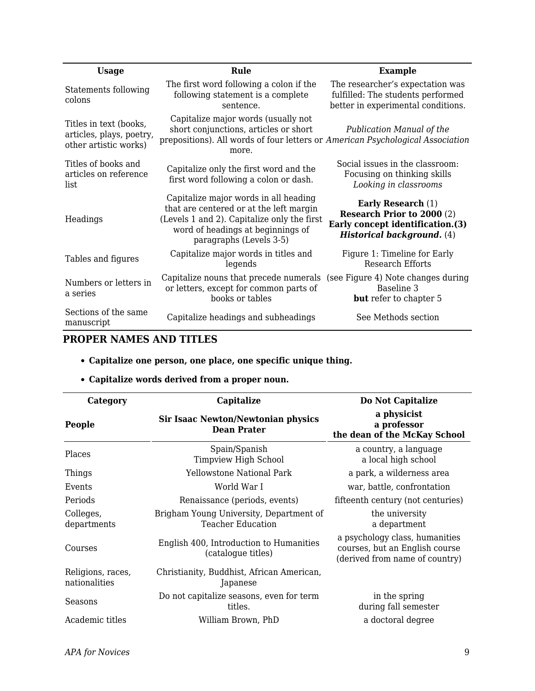| <b>Usage</b>                                                                | Rule                                                                                                                                                                                            | <b>Example</b>                                                                                                                          |
|-----------------------------------------------------------------------------|-------------------------------------------------------------------------------------------------------------------------------------------------------------------------------------------------|-----------------------------------------------------------------------------------------------------------------------------------------|
| Statements following<br>colons                                              | The first word following a colon if the<br>following statement is a complete<br>sentence.                                                                                                       | The researcher's expectation was<br>fulfilled: The students performed<br>better in experimental conditions.                             |
| Titles in text (books,<br>articles, plays, poetry,<br>other artistic works) | Capitalize major words (usually not<br>short conjunctions, articles or short<br>prepositions). All words of four letters or American Psychological Association<br>more.                         | Publication Manual of the                                                                                                               |
| Titles of books and<br>articles on reference<br>list                        | Capitalize only the first word and the<br>first word following a colon or dash.                                                                                                                 | Social issues in the classroom:<br>Focusing on thinking skills<br>Looking in classrooms                                                 |
| Headings                                                                    | Capitalize major words in all heading<br>that are centered or at the left margin<br>(Levels 1 and 2). Capitalize only the first<br>word of headings at beginnings of<br>paragraphs (Levels 3-5) | <b>Early Research</b> (1)<br><b>Research Prior to 2000 (2)</b><br>Early concept identification.(3)<br><b>Historical background.</b> (4) |
| Tables and figures                                                          | Capitalize major words in titles and<br>legends                                                                                                                                                 | Figure 1: Timeline for Early<br>Research Efforts                                                                                        |
| Numbers or letters in<br>a series                                           | Capitalize nouns that precede numerals (see Figure 4) Note changes during<br>or letters, except for common parts of<br>books or tables                                                          | Baseline 3<br><b>but</b> refer to chapter 5                                                                                             |
| Sections of the same<br>manuscript                                          | Capitalize headings and subheadings                                                                                                                                                             | See Methods section                                                                                                                     |

## **PROPER NAMES AND TITLES**

### **Capitalize one person, one place, one specific unique thing.**

### **Capitalize words derived from a proper noun.**

| Category                           | Capitalize                                                      | Do Not Capitalize                                                                                  |
|------------------------------------|-----------------------------------------------------------------|----------------------------------------------------------------------------------------------------|
| People                             | <b>Sir Isaac Newton/Newtonian physics</b><br><b>Dean Prater</b> | a physicist<br>a professor<br>the dean of the McKay School                                         |
| Places                             | Spain/Spanish<br>Timpview High School                           | a country, a language<br>a local high school                                                       |
| Things                             | Yellowstone National Park                                       | a park, a wilderness area                                                                          |
| Events                             | World War I                                                     | war, battle, confrontation                                                                         |
| Periods                            | Renaissance (periods, events)                                   | fifteenth century (not centuries)                                                                  |
| Colleges,<br>departments           | Brigham Young University, Department of<br>Teacher Education    | the university<br>a department                                                                     |
| Courses                            | English 400, Introduction to Humanities<br>(catalogue titles)   | a psychology class, humanities<br>courses, but an English course<br>(derived from name of country) |
| Religions, races,<br>nationalities | Christianity, Buddhist, African American,<br>Japanese           |                                                                                                    |
| Seasons                            | Do not capitalize seasons, even for term<br>titles.             | in the spring<br>during fall semester                                                              |
| Academic titles                    | William Brown, PhD                                              | a doctoral degree                                                                                  |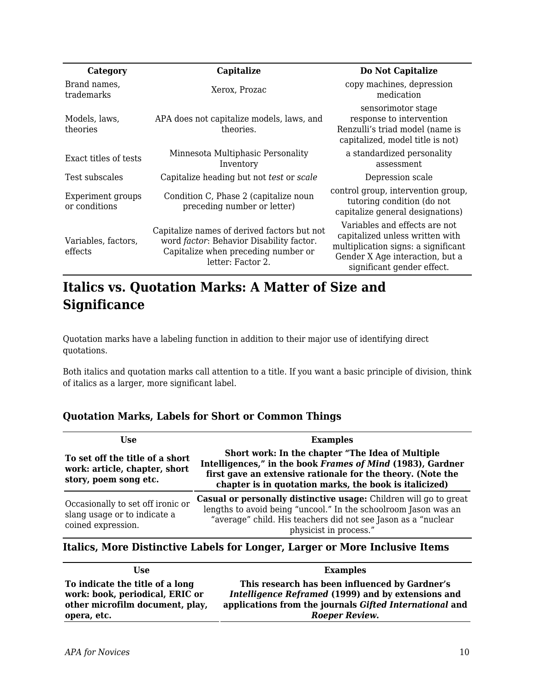| Category                           | Capitalize                                                                                                                                          | Do Not Capitalize                                                                                                                                                        |
|------------------------------------|-----------------------------------------------------------------------------------------------------------------------------------------------------|--------------------------------------------------------------------------------------------------------------------------------------------------------------------------|
| Brand names,<br>trademarks         | Xerox, Prozac                                                                                                                                       | copy machines, depression<br>medication                                                                                                                                  |
| Models, laws,<br>theories          | APA does not capitalize models, laws, and<br>theories.                                                                                              | sensorimotor stage<br>response to intervention<br>Renzulli's triad model (name is<br>capitalized, model title is not)                                                    |
| Exact titles of tests              | Minnesota Multiphasic Personality<br>Inventory                                                                                                      | a standardized personality<br>assessment                                                                                                                                 |
| Test subscales                     | Capitalize heading but not test or scale                                                                                                            | Depression scale                                                                                                                                                         |
| Experiment groups<br>or conditions | Condition C, Phase 2 (capitalize noun<br>preceding number or letter)                                                                                | control group, intervention group,<br>tutoring condition (do not<br>capitalize general designations)                                                                     |
| Variables, factors,<br>effects     | Capitalize names of derived factors but not<br>word factor: Behavior Disability factor.<br>Capitalize when preceding number or<br>letter: Factor 2. | Variables and effects are not<br>capitalized unless written with<br>multiplication signs: a significant<br>Gender X Age interaction, but a<br>significant gender effect. |

## **Italics vs. Quotation Marks: A Matter of Size and Significance**

Quotation marks have a labeling function in addition to their major use of identifying direct quotations.

Both italics and quotation marks call attention to a title. If you want a basic principle of division, think of italics as a larger, more significant label.

### **Quotation Marks, Labels for Short or Common Things**

| Use                                                                                       | <b>Examples</b>                                                                                                                                                                                                                         |  |
|-------------------------------------------------------------------------------------------|-----------------------------------------------------------------------------------------------------------------------------------------------------------------------------------------------------------------------------------------|--|
| To set off the title of a short<br>work: article, chapter, short<br>story, poem song etc. | Short work: In the chapter "The Idea of Multiple<br>Intelligences," in the book Frames of Mind (1983), Gardner<br>first gave an extensive rationale for the theory. (Note the<br>chapter is in quotation marks, the book is italicized) |  |
| Occasionally to set off ironic or<br>slang usage or to indicate a<br>coined expression.   | Casual or personally distinctive usage: Children will go to great<br>lengths to avoid being "uncool." In the schoolroom Jason was an<br>"average" child. His teachers did not see Jason as a "nuclear<br>physicist in process."         |  |

**Italics, More Distinctive Labels for Longer, Larger or More Inclusive Items**

| Use                             | <b>Examples</b>                                         |
|---------------------------------|---------------------------------------------------------|
| To indicate the title of a long | This research has been influenced by Gardner's          |
| work: book, periodical, ERIC or | Intelligence Reframed (1999) and by extensions and      |
| other microfilm document, play, | applications from the journals Gifted International and |
| opera, etc.                     | Roeper Review.                                          |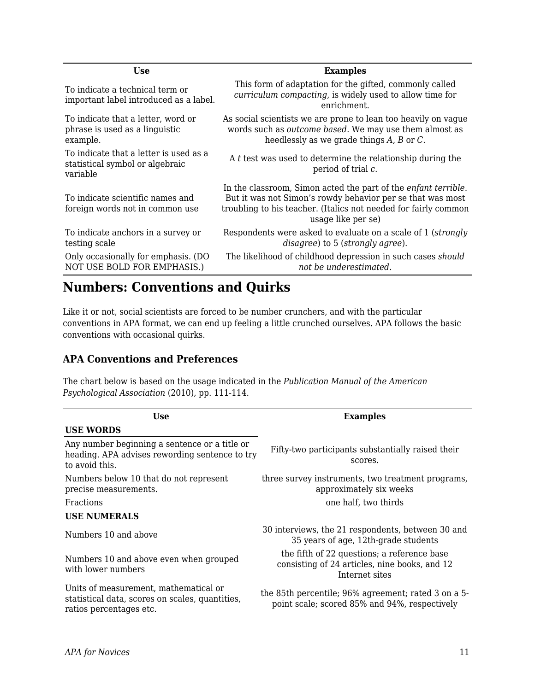| Use                                                                                   | <b>Examples</b>                                                                                                                                                                                                       |
|---------------------------------------------------------------------------------------|-----------------------------------------------------------------------------------------------------------------------------------------------------------------------------------------------------------------------|
| To indicate a technical term or<br>important label introduced as a label.             | This form of adaptation for the gifted, commonly called<br>curriculum compacting, is widely used to allow time for<br>enrichment.                                                                                     |
| To indicate that a letter, word or<br>phrase is used as a linguistic<br>example.      | As social scientists we are prone to lean too heavily on vague<br>words such as <i>outcome based</i> . We may use them almost as<br>heedlessly as we grade things $A$ , $B$ or $C$ .                                  |
| To indicate that a letter is used as a<br>statistical symbol or algebraic<br>variable | A t test was used to determine the relationship during the<br>period of trial c.                                                                                                                                      |
| To indicate scientific names and<br>foreign words not in common use                   | In the classroom, Simon acted the part of the enfant terrible.<br>But it was not Simon's rowdy behavior per se that was most<br>troubling to his teacher. (Italics not needed for fairly common<br>usage like per se) |
| To indicate anchors in a survey or<br>testing scale                                   | Respondents were asked to evaluate on a scale of 1 (strongly<br>disagree) to 5 (strongly agree).                                                                                                                      |
| Only occasionally for emphasis. (DO<br>NOT USE BOLD FOR EMPHASIS.)                    | The likelihood of childhood depression in such cases should<br>not be underestimated.                                                                                                                                 |
|                                                                                       |                                                                                                                                                                                                                       |

## **Numbers: Conventions and Quirks**

Like it or not, social scientists are forced to be number crunchers, and with the particular conventions in APA format, we can end up feeling a little crunched ourselves. APA follows the basic conventions with occasional quirks.

### **APA Conventions and Preferences**

The chart below is based on the usage indicated in the *Publication Manual of the American Psychological Association* (2010), pp. 111-114.

| <b>Use</b>                                                                                                          | <b>Examples</b>                                                                                                |  |
|---------------------------------------------------------------------------------------------------------------------|----------------------------------------------------------------------------------------------------------------|--|
| <b>USE WORDS</b>                                                                                                    |                                                                                                                |  |
| Any number beginning a sentence or a title or<br>heading. APA advises rewording sentence to try<br>to avoid this.   | Fifty-two participants substantially raised their<br>scores.                                                   |  |
| Numbers below 10 that do not represent<br>precise measurements.                                                     | three survey instruments, two treatment programs,<br>approximately six weeks                                   |  |
| <b>Fractions</b>                                                                                                    | one half, two thirds                                                                                           |  |
| <b>USE NUMERALS</b>                                                                                                 |                                                                                                                |  |
| Numbers 10 and above                                                                                                | 30 interviews, the 21 respondents, between 30 and<br>35 years of age, 12th-grade students                      |  |
| Numbers 10 and above even when grouped<br>with lower numbers                                                        | the fifth of 22 questions; a reference base<br>consisting of 24 articles, nine books, and 12<br>Internet sites |  |
| Units of measurement, mathematical or<br>statistical data, scores on scales, quantities,<br>ratios percentages etc. | the 85th percentile; 96% agreement; rated 3 on a 5-<br>point scale; scored 85% and 94%, respectively           |  |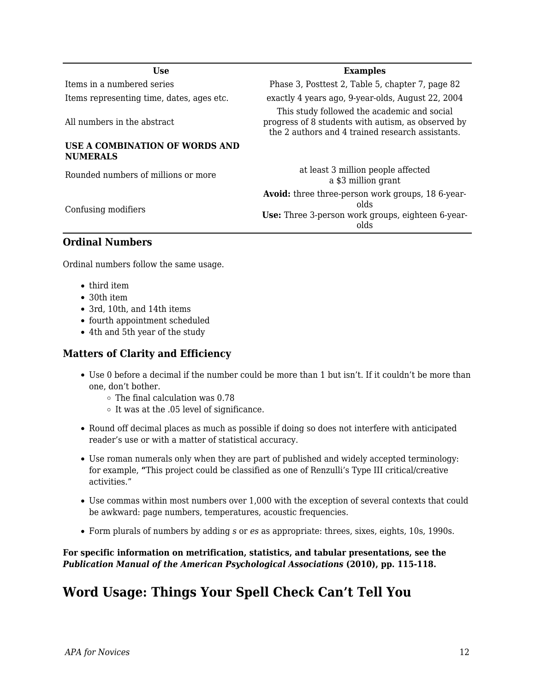| Use                                               | <b>Examples</b>                                                                                                                                       |
|---------------------------------------------------|-------------------------------------------------------------------------------------------------------------------------------------------------------|
| Items in a numbered series                        | Phase 3, Posttest 2, Table 5, chapter 7, page 82                                                                                                      |
| Items representing time, dates, ages etc.         | exactly 4 years ago, 9-year-olds, August 22, 2004                                                                                                     |
| All numbers in the abstract                       | This study followed the academic and social<br>progress of 8 students with autism, as observed by<br>the 2 authors and 4 trained research assistants. |
| USE A COMBINATION OF WORDS AND<br><b>NUMERALS</b> |                                                                                                                                                       |
| Rounded numbers of millions or more               | at least 3 million people affected<br>a \$3 million grant                                                                                             |
| Confusing modifiers                               | <b>Avoid:</b> three three-person work groups, 18 6-year-<br>alds<br>Use: Three 3-person work groups, eighteen 6-year-<br>olds                         |
| <b>Ordinal Numbers</b>                            |                                                                                                                                                       |

Ordinal numbers follow the same usage.

- third item
- 30th item
- 3rd, 10th, and 14th items
- fourth appointment scheduled
- 4th and 5th year of the study

#### **Matters of Clarity and Efficiency**

- Use 0 before a decimal if the number could be more than 1 but isn't. If it couldn't be more than one, don't bother.
	- $\circ$  The final calculation was 0.78
	- $\circ$  It was at the .05 level of significance.
- Round off decimal places as much as possible if doing so does not interfere with anticipated reader's use or with a matter of statistical accuracy.
- Use roman numerals only when they are part of published and widely accepted terminology: for example, **"**This project could be classified as one of Renzulli's Type III critical/creative activities."
- Use commas within most numbers over 1,000 with the exception of several contexts that could be awkward: page numbers, temperatures, acoustic frequencies.
- Form plurals of numbers by adding *s* or *es* as appropriate: threes, sixes, eights, 10s, 1990s.

#### **For specific information on metrification, statistics, and tabular presentations, see the** *Publication Manual of the American Psychological Associations* **(2010), pp. 115-118.**

## **Word Usage: Things Your Spell Check Can't Tell You**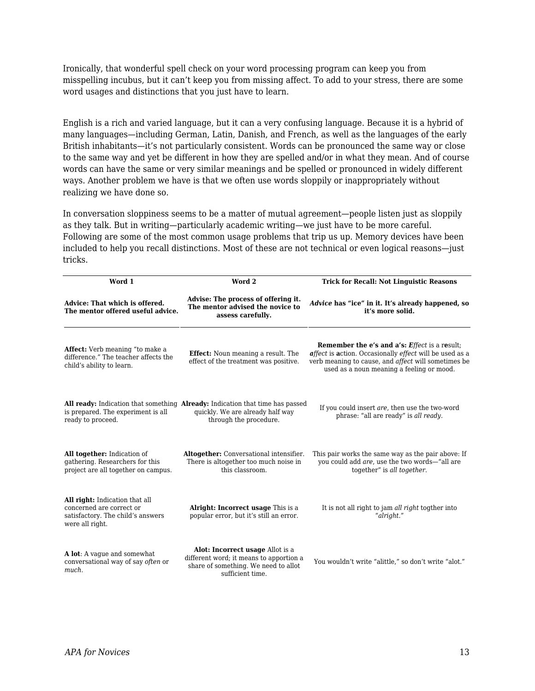Ironically, that wonderful spell check on your word processing program can keep you from misspelling incubus, but it can't keep you from missing affect. To add to your stress, there are some word usages and distinctions that you just have to learn.

English is a rich and varied language, but it can a very confusing language. Because it is a hybrid of many languages—including German, Latin, Danish, and French, as well as the languages of the early British inhabitants—it's not particularly consistent. Words can be pronounced the same way or close to the same way and yet be different in how they are spelled and/or in what they mean. And of course words can have the same or very similar meanings and be spelled or pronounced in widely different ways. Another problem we have is that we often use words sloppily or inappropriately without realizing we have done so.

In conversation sloppiness seems to be a matter of mutual agreement—people listen just as sloppily as they talk. But in writing—particularly academic writing—we just have to be more careful. Following are some of the most common usage problems that trip us up. Memory devices have been included to help you recall distinctions. Most of these are not technical or even logical reasons—just tricks.

| Word 1                                                                                                             | Word 2                                                                                                                                      | <b>Trick for Recall: Not Linguistic Reasons</b>                                                                                                                                                                     |
|--------------------------------------------------------------------------------------------------------------------|---------------------------------------------------------------------------------------------------------------------------------------------|---------------------------------------------------------------------------------------------------------------------------------------------------------------------------------------------------------------------|
| Advice: That which is offered.<br>The mentor offered useful advice.                                                | Advise: The process of offering it.<br>The mentor advised the novice to<br>assess carefully.                                                | Advice has "ice" in it. It's already happened, so<br>it's more solid.                                                                                                                                               |
| Affect: Verb meaning "to make a<br>difference." The teacher affects the<br>child's ability to learn.               | <b>Effect:</b> Noun meaning a result. The<br>effect of the treatment was positive.                                                          | <b>Remember the e's and a's: Effect is a result;</b><br>affect is action. Occasionally effect will be used as a<br>verb meaning to cause, and affect will sometimes be<br>used as a noun meaning a feeling or mood. |
| is prepared. The experiment is all<br>ready to proceed.                                                            | All ready: Indication that something Already: Indication that time has passed<br>quickly. We are already half way<br>through the procedure. | If you could insert are, then use the two-word<br>phrase: "all are ready" is all ready.                                                                                                                             |
| All together: Indication of<br>gathering. Researchers for this<br>project are all together on campus.              | Altogether: Conversational intensifier.<br>There is altogether too much noise in<br>this classroom.                                         | This pair works the same way as the pair above: If<br>you could add are, use the two words-"all are<br>together" is all together.                                                                                   |
| All right: Indication that all<br>concerned are correct or<br>satisfactory. The child's answers<br>were all right. | <b>Alright: Incorrect usage This is a</b><br>popular error, but it's still an error.                                                        | It is not all right to jam all right togther into<br>"alright."                                                                                                                                                     |
| A lot: A vague and somewhat<br>conversational way of say often or<br>much.                                         | Alot: Incorrect usage Allot is a<br>different word; it means to apportion a<br>share of something. We need to allot<br>sufficient time.     | You wouldn't write "alittle," so don't write "alot."                                                                                                                                                                |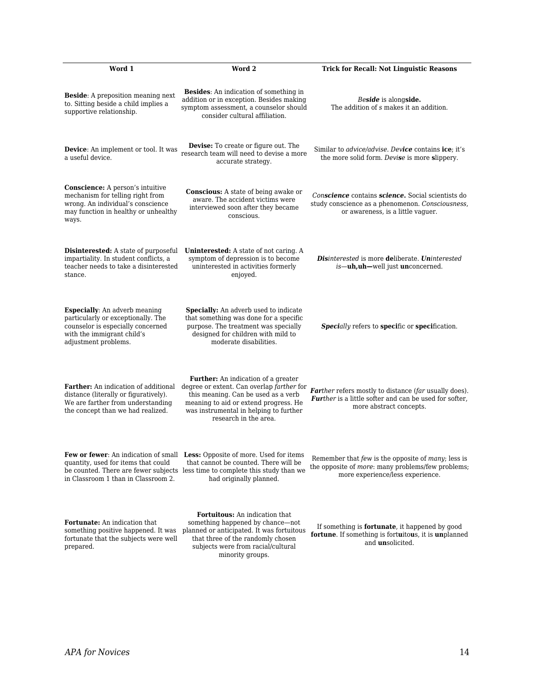| Word 1                                                                                                                                                                | Word 2                                                                                                                                                                                                                                     | <b>Trick for Recall: Not Linguistic Reasons</b>                                                                                                     |
|-----------------------------------------------------------------------------------------------------------------------------------------------------------------------|--------------------------------------------------------------------------------------------------------------------------------------------------------------------------------------------------------------------------------------------|-----------------------------------------------------------------------------------------------------------------------------------------------------|
| Beside: A preposition meaning next<br>to. Sitting beside a child implies a<br>supportive relationship.                                                                | <b>Besides:</b> An indication of something in<br>addition or in exception. Besides making<br>symptom assessment, a counselor should<br>consider cultural affiliation.                                                                      | Beside is alongside.<br>The addition of s makes it an addition.                                                                                     |
| Device: An implement or tool. It was<br>a useful device.                                                                                                              | Devise: To create or figure out. The<br>research team will need to devise a more<br>accurate strategy.                                                                                                                                     | Similar to <i>advice/advise</i> . Device contains ice; it's<br>the more solid form. Devise is more slippery.                                        |
| Conscience: A person's intuitive<br>mechanism for telling right from<br>wrong. An individual's conscience<br>may function in healthy or unhealthy<br>ways.            | <b>Conscious:</b> A state of being awake or<br>aware. The accident victims were<br>interviewed soon after they became<br>conscious.                                                                                                        | Conscience contains science. Social scientists do<br>study conscience as a phenomenon. Consciousness,<br>or awareness, is a little vaguer.          |
| <b>Disinterested:</b> A state of purposeful<br>impartiality. In student conflicts, a<br>teacher needs to take a disinterested<br>stance.                              | <b>Uninterested:</b> A state of not caring. A<br>symptom of depression is to become<br>uninterested in activities formerly<br>enjoyed.                                                                                                     | <b>Disinterested is more deliberate. Uninterested</b><br>is-uh, uh-well just unconcerned.                                                           |
| <b>Especially:</b> An adverb meaning<br>particularly or exceptionally. The<br>counselor is especially concerned<br>with the immigrant child's<br>adjustment problems. | <b>Specially:</b> An adverb used to indicate<br>that something was done for a specific<br>purpose. The treatment was specially<br>designed for children with mild to<br>moderate disabilities.                                             | <b>Specially refers to specific or specification.</b>                                                                                               |
| Farther: An indication of additional<br>distance (literally or figuratively).<br>We are farther from understanding<br>the concept than we had realized.               | <b>Further:</b> An indication of a greater<br>degree or extent. Can overlap farther for<br>this meaning. Can be used as a verb<br>meaning to aid or extend progress. He<br>was instrumental in helping to further<br>research in the area. | Farther refers mostly to distance (far usually does).<br>Further is a little softer and can be used for softer,<br>more abstract concepts.          |
| quantity, used for items that could<br>in Classroom 1 than in Classroom 2.                                                                                            | Few or fewer: An indication of small Less: Opposite of more. Used for items<br>that cannot be counted. There will be<br>be counted. There are fewer subjects less time to complete this study than we<br>had originally planned.           | Remember that few is the opposite of many; less is<br>the opposite of <i>more</i> : many problems/few problems;<br>more experience/less experience. |
| Fortunate: An indication that<br>something positive happened. It was<br>fortunate that the subjects were well<br>prepared.                                            | <b>Fortuitous:</b> An indication that<br>something happened by chance—not<br>planned or anticipated. It was fortuitous<br>that three of the randomly chosen<br>subjects were from racial/cultural<br>minority groups.                      | If something is <b>fortunate</b> , it happened by good<br>fortune. If something is fortuitous, it is unplanned<br>and <i>unsolicited</i> .          |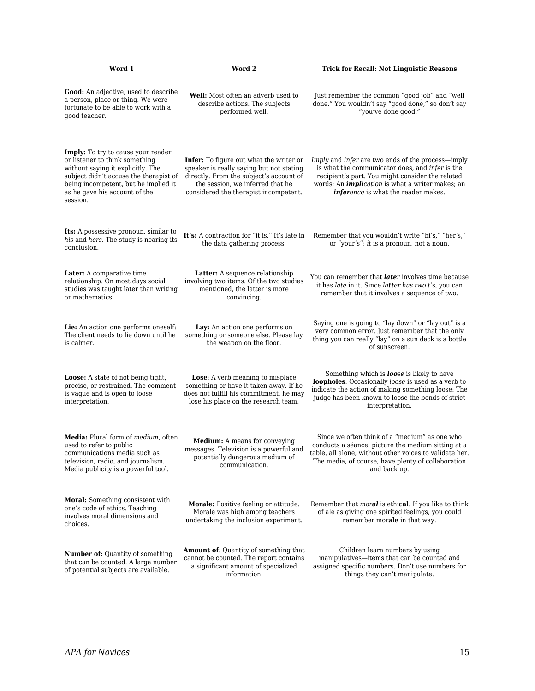| Word 1                                                                                                                                                                                                                                   | Word 2                                                                                                                                                                                                             | <b>Trick for Recall: Not Linguistic Reasons</b>                                                                                                                                                                                                            |
|------------------------------------------------------------------------------------------------------------------------------------------------------------------------------------------------------------------------------------------|--------------------------------------------------------------------------------------------------------------------------------------------------------------------------------------------------------------------|------------------------------------------------------------------------------------------------------------------------------------------------------------------------------------------------------------------------------------------------------------|
| Good: An adjective, used to describe<br>a person, place or thing. We were<br>fortunate to be able to work with a<br>good teacher.                                                                                                        | <b>Well:</b> Most often an adverb used to<br>describe actions. The subjects<br>performed well.                                                                                                                     | Just remember the common "good job" and "well<br>done." You wouldn't say "good done," so don't say<br>"you've done good."                                                                                                                                  |
| Imply: To try to cause your reader<br>or listener to think something<br>without saying it explicitly. The<br>subject didn't accuse the therapist of<br>being incompetent, but he implied it<br>as he gave his account of the<br>session. | <b>Infer:</b> To figure out what the writer or<br>speaker is really saying but not stating<br>directly. From the subject's account of<br>the session, we inferred that he<br>considered the therapist incompetent. | Imply and Infer are two ends of the process—imply<br>is what the communicator does, and infer is the<br>recipient's part. You might consider the related<br>words: An <i>implication</i> is what a writer makes; an<br>inference is what the reader makes. |
| Its: A possessive pronoun, similar to<br>his and hers. The study is nearing its<br>conclusion.                                                                                                                                           | It's: A contraction for "it is." It's late in<br>the data gathering process.                                                                                                                                       | Remember that you wouldn't write "hi's," "her's,"<br>or "your's"; it is a pronoun, not a noun.                                                                                                                                                             |
| Later: A comparative time<br>relationship. On most days social<br>studies was taught later than writing<br>or mathematics.                                                                                                               | Latter: A sequence relationship<br>involving two items. Of the two studies<br>mentioned, the latter is more<br>convincing.                                                                                         | You can remember that <i>later</i> involves time because<br>it has late in it. Since latter has two t's, you can<br>remember that it involves a sequence of two.                                                                                           |
| <b>Lie:</b> An action one performs oneself:<br>The client needs to lie down until he<br>is calmer.                                                                                                                                       | Lay: An action one performs on<br>something or someone else. Please lay<br>the weapon on the floor.                                                                                                                | Saying one is going to "lay down" or "lay out" is a<br>very common error. Just remember that the only<br>thing you can really "lay" on a sun deck is a bottle<br>of sunscreen.                                                                             |
| <b>Loose:</b> A state of not being tight,<br>precise, or restrained. The comment<br>is vague and is open to loose<br>interpretation.                                                                                                     | <b>Lose:</b> A verb meaning to misplace<br>something or have it taken away. If he<br>does not fulfill his commitment, he may<br>lose his place on the research team.                                               | Something which is <b>loose</b> is likely to have<br>loopholes. Occasionally loose is used as a verb to<br>indicate the action of making something loose: The<br>judge has been known to loose the bonds of strict<br>interpretation.                      |
| Media: Plural form of medium, often<br>used to refer to public<br>communications media such as<br>television, radio, and journalism.<br>Media publicity is a powerful tool.                                                              | Medium: A means for conveying<br>messages. Television is a powerful and<br>potentially dangerous medium of<br>communication.                                                                                       | Since we often think of a "medium" as one who<br>conducts a séance, picture the medium sitting at a<br>table, all alone, without other voices to validate her.<br>The media, of course, have plenty of collaboration<br>and back up.                       |
| Moral: Something consistent with<br>one's code of ethics. Teaching<br>involves moral dimensions and<br>choices.                                                                                                                          | Morale: Positive feeling or attitude.<br>Morale was high among teachers<br>undertaking the inclusion experiment.                                                                                                   | Remember that <i>moral</i> is ethical. If you like to think<br>of ale as giving one spirited feelings, you could<br>remember morale in that way.                                                                                                           |
| Number of: Quantity of something<br>that can be counted. A large number<br>of potential subjects are available.                                                                                                                          | <b>Amount of:</b> Quantity of something that<br>cannot be counted. The report contains<br>a significant amount of specialized<br>information.                                                                      | Children learn numbers by using<br>manipulatives-items that can be counted and<br>assigned specific numbers. Don't use numbers for<br>things they can't manipulate.                                                                                        |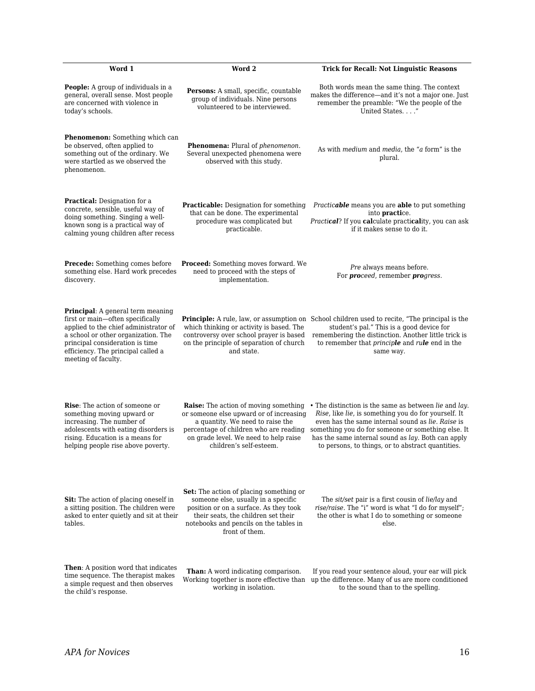| Word 1                                                                                                                                                                                                                                                       | Word 2                                                                                                                                                                                                                                    | <b>Trick for Recall: Not Linguistic Reasons</b>                                                                                                                                                                                                                                                                                     |
|--------------------------------------------------------------------------------------------------------------------------------------------------------------------------------------------------------------------------------------------------------------|-------------------------------------------------------------------------------------------------------------------------------------------------------------------------------------------------------------------------------------------|-------------------------------------------------------------------------------------------------------------------------------------------------------------------------------------------------------------------------------------------------------------------------------------------------------------------------------------|
| <b>People:</b> A group of individuals in a<br>general, overall sense. Most people<br>are concerned with violence in<br>today's schools.                                                                                                                      | Persons: A small, specific, countable<br>group of individuals. Nine persons<br>volunteered to be interviewed.                                                                                                                             | Both words mean the same thing. The context<br>makes the difference—and it's not a major one. Just<br>remember the preamble: "We the people of the<br>United States."                                                                                                                                                               |
| Phenomenon: Something which can<br>be observed, often applied to<br>something out of the ordinary. We<br>were startled as we observed the<br>phenomenon.                                                                                                     | Phenomena: Plural of phenomenon.<br>Several unexpected phenomena were<br>observed with this study.                                                                                                                                        | As with medium and media, the "a form" is the<br>plural.                                                                                                                                                                                                                                                                            |
| <b>Practical:</b> Designation for a<br>concrete, sensible, useful way of<br>doing something. Singing a well-<br>known song is a practical way of<br>calming young children after recess                                                                      | <b>Practicable:</b> Designation for something<br>that can be done. The experimental<br>procedure was complicated but<br>practicable.                                                                                                      | <i>Practicable</i> means you are able to put something<br>into practice.<br>Practical? If you calculate practicality, you can ask<br>if it makes sense to do it.                                                                                                                                                                    |
| <b>Precede:</b> Something comes before<br>something else. Hard work precedes<br>discovery.                                                                                                                                                                   | <b>Proceed:</b> Something moves forward. We<br>need to proceed with the steps of<br>implementation.                                                                                                                                       | <i>Pre</i> always means before.<br>For proceed, remember progress.                                                                                                                                                                                                                                                                  |
| <b>Principal:</b> A general term meaning<br>first or main-often specifically<br>applied to the chief administrator of<br>a school or other organization. The<br>principal consideration is time<br>efficiency. The principal called a<br>meeting of faculty. | which thinking or activity is based. The<br>controversy over school prayer is based<br>on the principle of separation of church<br>and state.                                                                                             | <b>Principle:</b> A rule, law, or assumption on School children used to recite, "The principal is the<br>student's pal." This is a good device for<br>remembering the distinction. Another little trick is<br>to remember that <i>principle</i> and <i>rule</i> end in the<br>same way.                                             |
| <b>Rise:</b> The action of someone or<br>something moving upward or<br>increasing. The number of<br>adolescents with eating disorders is<br>rising. Education is a means for<br>helping people rise above poverty.                                           | <b>Raise:</b> The action of moving something<br>or someone else upward or of increasing<br>a quantity. We need to raise the<br>percentage of children who are reading<br>on grade level. We need to help raise<br>children's self-esteem. | • The distinction is the same as between lie and lay.<br>Rise, like lie, is something you do for yourself. It<br>even has the same internal sound as lie. Raise is<br>something you do for someone or something else. It<br>has the same internal sound as lay. Both can apply<br>to persons, to things, or to abstract quantities. |
| <b>Sit:</b> The action of placing oneself in<br>a sitting position. The children were<br>asked to enter quietly and sit at their<br>tables.                                                                                                                  | <b>Set:</b> The action of placing something or<br>someone else, usually in a specific<br>position or on a surface. As they took<br>their seats, the children set their<br>notebooks and pencils on the tables in<br>front of them.        | The sit/set pair is a first cousin of lie/lay and<br>rise/raise. The "i" word is what "I do for myself":<br>the other is what I do to something or someone<br>else.                                                                                                                                                                 |
| <b>Then:</b> A position word that indicates<br>time sequence. The therapist makes<br>a simple request and then observes<br>the child's response.                                                                                                             | Than: A word indicating comparison.<br>Working together is more effective than<br>working in isolation.                                                                                                                                   | If you read your sentence aloud, your ear will pick<br>up the difference. Many of us are more conditioned<br>to the sound than to the spelling.                                                                                                                                                                                     |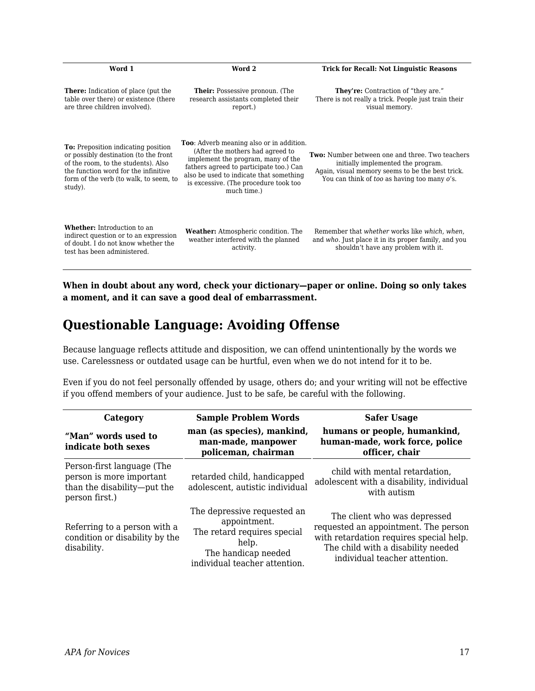| Word 1                                                                                                                                                                                                                  | Word 2                                                                                                                                                                                                                                                                  | <b>Trick for Recall: Not Linguistic Reasons</b>                                                                                                                                                  |
|-------------------------------------------------------------------------------------------------------------------------------------------------------------------------------------------------------------------------|-------------------------------------------------------------------------------------------------------------------------------------------------------------------------------------------------------------------------------------------------------------------------|--------------------------------------------------------------------------------------------------------------------------------------------------------------------------------------------------|
| <b>There:</b> Indication of place (put the<br>table over there) or existence (there<br>are three children involved).                                                                                                    | <b>Their:</b> Possessive pronoun. (The<br>research assistants completed their<br>report.)                                                                                                                                                                               | <b>They're:</b> Contraction of "they are."<br>There is not really a trick. People just train their<br>visual memory.                                                                             |
| <b>To:</b> Preposition indicating position<br>or possibly destination (to the front<br>of the room, to the students). Also<br>the function word for the infinitive<br>form of the verb (to walk, to seem, to<br>study). | <b>Too:</b> Adverb meaning also or in addition.<br>(After the mothers had agreed to<br>implement the program, many of the<br>fathers agreed to participate too.) Can<br>also be used to indicate that something<br>is excessive. (The procedure took too<br>much time.) | <b>Two:</b> Number between one and three. Two teachers<br>initially implemented the program.<br>Again, visual memory seems to be the best trick.<br>You can think of too as having too many o's. |
| <b>Whether:</b> Introduction to an<br>indirect question or to an expression<br>of doubt. I do not know whether the<br>test has been administered.                                                                       | Weather: Atmospheric condition. The<br>weather interfered with the planned<br>activity.                                                                                                                                                                                 | Remember that whether works like which, when,<br>and who. Just place it in its proper family, and you<br>shouldn't have any problem with it.                                                     |

**When in doubt about any word, check your dictionary—paper or online. Doing so only takes a moment, and it can save a good deal of embarrassment.**

## **Questionable Language: Avoiding Offense**

Because language reflects attitude and disposition, we can offend unintentionally by the words we use. Carelessness or outdated usage can be hurtful, even when we do not intend for it to be.

Even if you do not feel personally offended by usage, others do; and your writing will not be effective if you offend members of your audience. Just to be safe, be careful with the following.

| Category                                                                                                | <b>Sample Problem Words</b>                                                                                                                 | <b>Safer Usage</b>                                                                                                                                                                     |
|---------------------------------------------------------------------------------------------------------|---------------------------------------------------------------------------------------------------------------------------------------------|----------------------------------------------------------------------------------------------------------------------------------------------------------------------------------------|
| "Man" words used to<br>indicate both sexes                                                              | man (as species), mankind,<br>man-made, manpower<br>policeman, chairman                                                                     | humans or people, humankind,<br>human-made, work force, police<br>officer, chair                                                                                                       |
| Person-first language (The<br>person is more important<br>than the disability-put the<br>person first.) | retarded child, handicapped<br>adolescent, autistic individual                                                                              | child with mental retardation,<br>adolescent with a disability, individual<br>with autism                                                                                              |
| Referring to a person with a<br>condition or disability by the<br>disability.                           | The depressive requested an<br>appointment.<br>The retard requires special<br>help.<br>The handicap needed<br>individual teacher attention. | The client who was depressed<br>requested an appointment. The person<br>with retardation requires special help.<br>The child with a disability needed<br>individual teacher attention. |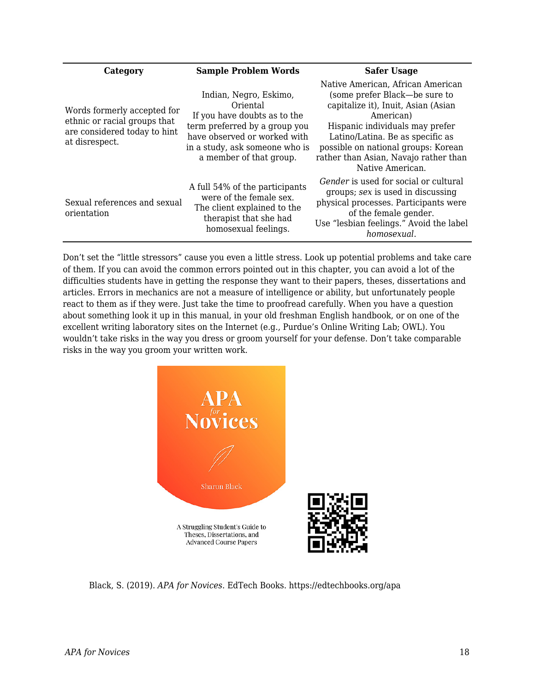| Category                                                                                                      | <b>Sample Problem Words</b>                                                                                                                                                                      | <b>Safer Usage</b>                                                                                                                                                                                                                                                                                |
|---------------------------------------------------------------------------------------------------------------|--------------------------------------------------------------------------------------------------------------------------------------------------------------------------------------------------|---------------------------------------------------------------------------------------------------------------------------------------------------------------------------------------------------------------------------------------------------------------------------------------------------|
| Words formerly accepted for<br>ethnic or racial groups that<br>are considered today to hint<br>at disrespect. | Indian, Negro, Eskimo,<br>Oriental<br>If you have doubts as to the<br>term preferred by a group you<br>have observed or worked with<br>in a study, ask someone who is<br>a member of that group. | Native American, African American<br>(some prefer Black—be sure to<br>capitalize it), Inuit, Asian (Asian<br>American)<br>Hispanic individuals may prefer<br>Latino/Latina. Be as specific as<br>possible on national groups: Korean<br>rather than Asian, Navajo rather than<br>Native American. |
| Sexual references and sexual<br>orientation                                                                   | A full 54% of the participants<br>were of the female sex.<br>The client explained to the<br>therapist that she had<br>homosexual feelings.                                                       | <i>Gender</i> is used for social or cultural<br>groups; sex is used in discussing<br>physical processes. Participants were<br>of the female gender.<br>Use "lesbian feelings." Avoid the label<br>homosexual.                                                                                     |

Don't set the "little stressors" cause you even a little stress. Look up potential problems and take care of them. If you can avoid the common errors pointed out in this chapter, you can avoid a lot of the difficulties students have in getting the response they want to their papers, theses, dissertations and articles. Errors in mechanics are not a measure of intelligence or ability, but unfortunately people react to them as if they were. Just take the time to proofread carefully. When you have a question about something look it up in this manual, in your old freshman English handbook, or on one of the excellent writing laboratory sites on the Internet (e.g., Purdue's Online Writing Lab; OWL). You wouldn't take risks in the way you dress or groom yourself for your defense. Don't take comparable risks in the way you groom your written work.



Black, S. (2019). *APA for Novices*. EdTech Books. https://edtechbooks.org/apa